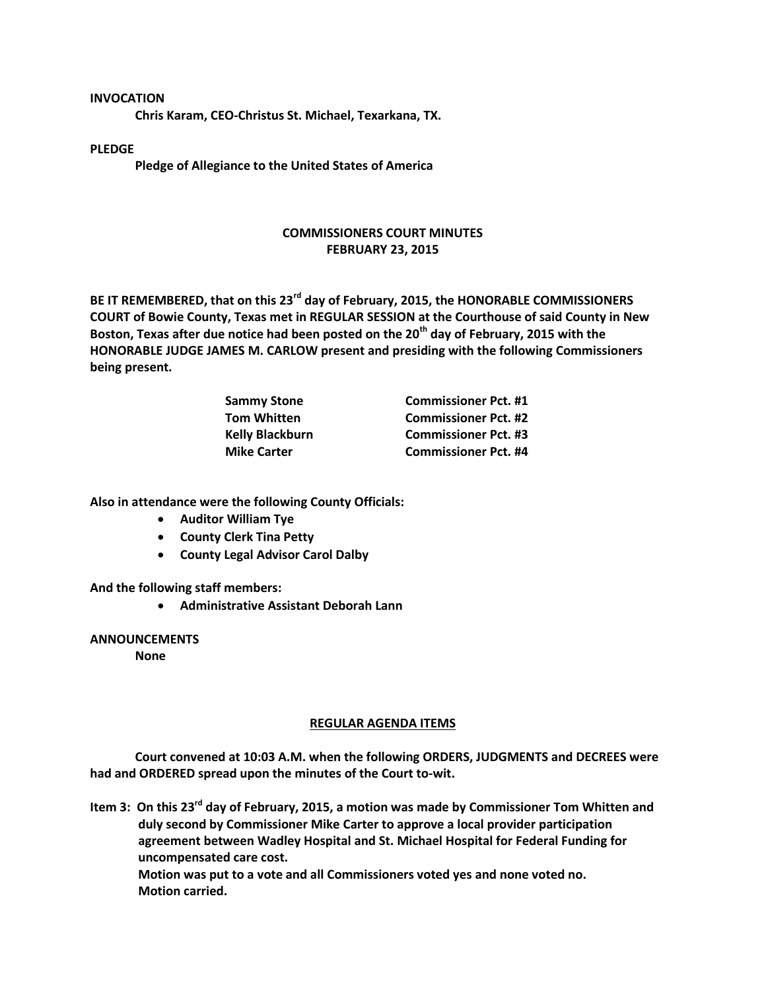**INVOCATION**

**Chris Karam, CEO-Christus St. Michael, Texarkana, TX.**

**PLEDGE**

**Pledge of Allegiance to the United States of America**

## **COMMISSIONERS COURT MINUTES FEBRUARY 23, 2015**

**BE IT REMEMBERED, that on this 23rd day of February, 2015, the HONORABLE COMMISSIONERS COURT of Bowie County, Texas met in REGULAR SESSION at the Courthouse of said County in New Boston, Texas after due notice had been posted on the 20th day of February, 2015 with the HONORABLE JUDGE JAMES M. CARLOW present and presiding with the following Commissioners being present.**

| <b>Sammy Stone</b>     | <b>Commissioner Pct. #1</b> |
|------------------------|-----------------------------|
| <b>Tom Whitten</b>     | <b>Commissioner Pct. #2</b> |
| <b>Kelly Blackburn</b> | <b>Commissioner Pct. #3</b> |
| <b>Mike Carter</b>     | <b>Commissioner Pct. #4</b> |

**Also in attendance were the following County Officials:**

- **Auditor William Tye**
- **County Clerk Tina Petty**
- **County Legal Advisor Carol Dalby**

**And the following staff members:**

**Administrative Assistant Deborah Lann**

**ANNOUNCEMENTS**

**None**

## **REGULAR AGENDA ITEMS**

**Court convened at 10:03 A.M. when the following ORDERS, JUDGMENTS and DECREES were had and ORDERED spread upon the minutes of the Court to-wit.**

**Item 3: On this 23rd day of February, 2015, a motion was made by Commissioner Tom Whitten and duly second by Commissioner Mike Carter to approve a local provider participation agreement between Wadley Hospital and St. Michael Hospital for Federal Funding for uncompensated care cost.**

**Motion was put to a vote and all Commissioners voted yes and none voted no. Motion carried.**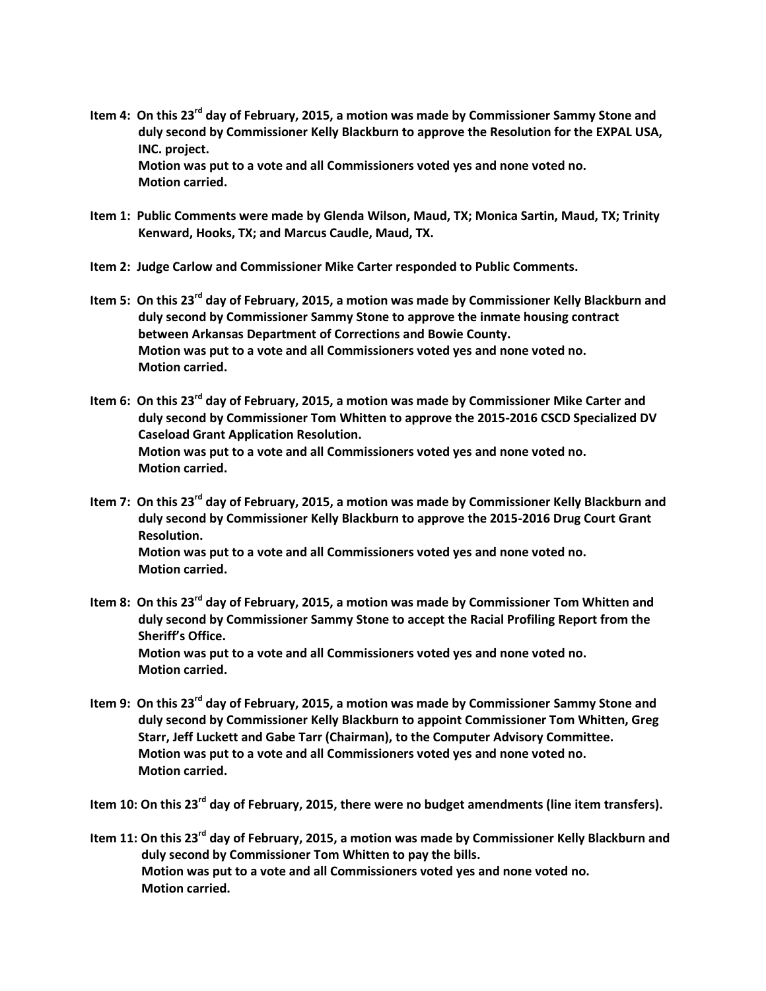**Item 4: On this 23rd day of February, 2015, a motion was made by Commissioner Sammy Stone and duly second by Commissioner Kelly Blackburn to approve the Resolution for the EXPAL USA, INC. project. Motion was put to a vote and all Commissioners voted yes and none voted no.**

**Item 1: Public Comments were made by Glenda Wilson, Maud, TX; Monica Sartin, Maud, TX; Trinity Kenward, Hooks, TX; and Marcus Caudle, Maud, TX.**

**Item 2: Judge Carlow and Commissioner Mike Carter responded to Public Comments.**

**Motion carried.**

- **Item 5: On this 23rd day of February, 2015, a motion was made by Commissioner Kelly Blackburn and duly second by Commissioner Sammy Stone to approve the inmate housing contract between Arkansas Department of Corrections and Bowie County. Motion was put to a vote and all Commissioners voted yes and none voted no. Motion carried.**
- **Item 6: On this 23rd day of February, 2015, a motion was made by Commissioner Mike Carter and duly second by Commissioner Tom Whitten to approve the 2015-2016 CSCD Specialized DV Caseload Grant Application Resolution. Motion was put to a vote and all Commissioners voted yes and none voted no. Motion carried.**
- **Item 7: On this 23rd day of February, 2015, a motion was made by Commissioner Kelly Blackburn and duly second by Commissioner Kelly Blackburn to approve the 2015-2016 Drug Court Grant Resolution. Motion was put to a vote and all Commissioners voted yes and none voted no. Motion carried.**
- **Item 8: On this 23rd day of February, 2015, a motion was made by Commissioner Tom Whitten and duly second by Commissioner Sammy Stone to accept the Racial Profiling Report from the Sheriff's Office. Motion was put to a vote and all Commissioners voted yes and none voted no. Motion carried.**
- **Item 9: On this 23rd day of February, 2015, a motion was made by Commissioner Sammy Stone and duly second by Commissioner Kelly Blackburn to appoint Commissioner Tom Whitten, Greg Starr, Jeff Luckett and Gabe Tarr (Chairman), to the Computer Advisory Committee. Motion was put to a vote and all Commissioners voted yes and none voted no. Motion carried.**

**Item 10: On this 23rd day of February, 2015, there were no budget amendments (line item transfers).**

**Item 11: On this 23rd day of February, 2015, a motion was made by Commissioner Kelly Blackburn and duly second by Commissioner Tom Whitten to pay the bills. Motion was put to a vote and all Commissioners voted yes and none voted no. Motion carried.**